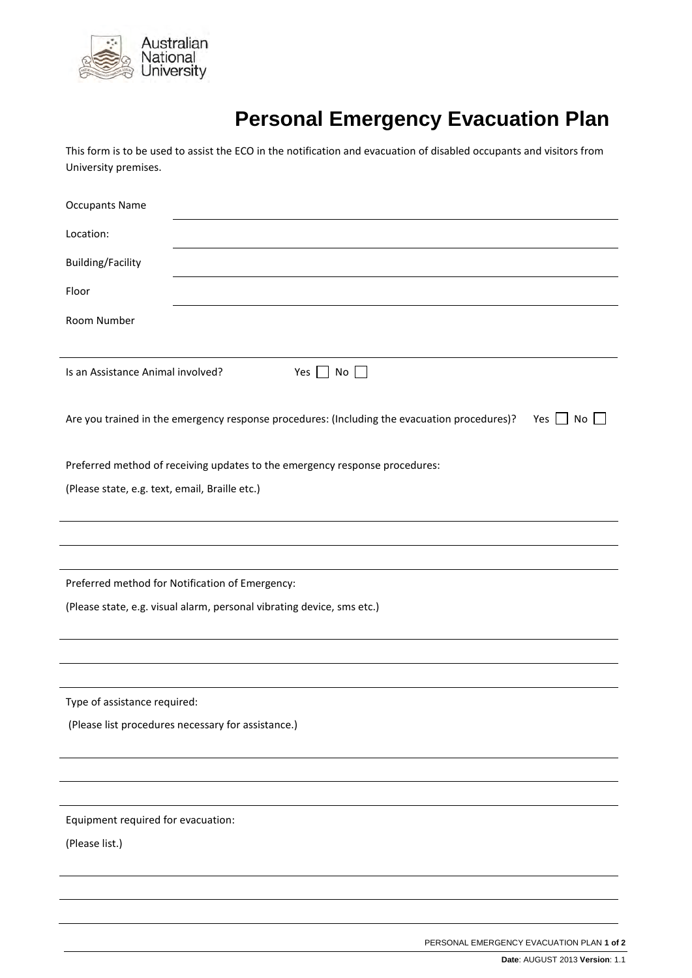

## **Personal Emergency Evacuation Plan**

This form is to be used to assist the ECO in the notification and evacuation of disabled occupants and visitors from University premises.

| <b>Occupants Name</b>                                                                                     |  |  |  |  |  |
|-----------------------------------------------------------------------------------------------------------|--|--|--|--|--|
| Location:                                                                                                 |  |  |  |  |  |
| <b>Building/Facility</b>                                                                                  |  |  |  |  |  |
| Floor                                                                                                     |  |  |  |  |  |
| Room Number                                                                                               |  |  |  |  |  |
|                                                                                                           |  |  |  |  |  |
| Is an Assistance Animal involved?<br>$No$ $\Box$<br>Yes $\vert$                                           |  |  |  |  |  |
| Are you trained in the emergency response procedures: (Including the evacuation procedures)?<br>No<br>Yes |  |  |  |  |  |
| Preferred method of receiving updates to the emergency response procedures:                               |  |  |  |  |  |
| (Please state, e.g. text, email, Braille etc.)                                                            |  |  |  |  |  |
|                                                                                                           |  |  |  |  |  |
|                                                                                                           |  |  |  |  |  |
| Preferred method for Notification of Emergency:                                                           |  |  |  |  |  |
| (Please state, e.g. visual alarm, personal vibrating device, sms etc.)                                    |  |  |  |  |  |
|                                                                                                           |  |  |  |  |  |
|                                                                                                           |  |  |  |  |  |
| Type of assistance required:                                                                              |  |  |  |  |  |
| (Please list procedures necessary for assistance.)                                                        |  |  |  |  |  |
|                                                                                                           |  |  |  |  |  |
|                                                                                                           |  |  |  |  |  |
|                                                                                                           |  |  |  |  |  |
| Equipment required for evacuation:                                                                        |  |  |  |  |  |
| (Please list.)                                                                                            |  |  |  |  |  |
|                                                                                                           |  |  |  |  |  |
|                                                                                                           |  |  |  |  |  |